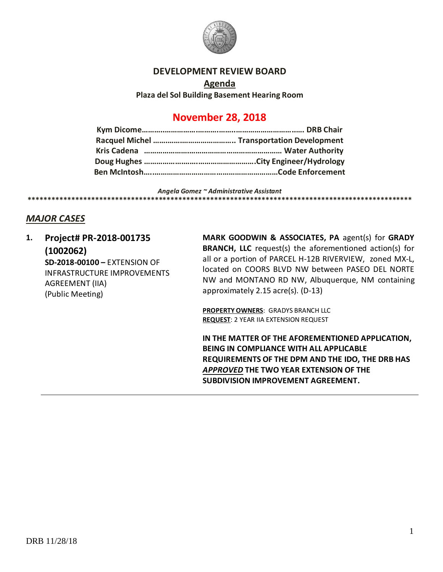

#### **DEVELOPMENT REVIEW BOARD**

**Agenda Plaza del Sol Building Basement Hearing Room**

# **November 28, 2018**

*Angela Gomez ~ Administrative Assistant* **\*\*\*\*\*\*\*\*\*\*\*\*\*\*\*\*\*\*\*\*\*\*\*\*\*\*\*\*\*\*\*\*\*\*\*\*\*\*\*\*\*\*\*\*\*\*\*\*\*\*\*\*\*\*\*\*\*\*\*\*\*\*\*\*\*\*\*\*\*\*\*\*\*\*\*\*\*\*\*\*\*\*\*\*\*\*\*\*\*\*\*\*\*\*\*\*\***

## *MAJOR CASES*

**1. Project# PR-2018-001735 (1002062) SD-2018-00100 –** EXTENSION OF INFRASTRUCTURE IMPROVEMENTS AGREEMENT (IIA) (Public Meeting)

**MARK GOODWIN & ASSOCIATES, PA** agent(s) for **GRADY BRANCH, LLC** request(s) the aforementioned action(s) for all or a portion of PARCEL H-12B RIVERVIEW, zoned MX-L, located on COORS BLVD NW between PASEO DEL NORTE NW and MONTANO RD NW, Albuquerque, NM containing approximately 2.15 acre(s). (D-13)

**PROPERTY OWNERS**: GRADYS BRANCH LLC **REQUEST**: 2 YEAR IIA EXTENSION REQUEST

**IN THE MATTER OF THE AFOREMENTIONED APPLICATION, BEING IN COMPLIANCE WITH ALL APPLICABLE REQUIREMENTS OF THE DPM AND THE IDO, THE DRB HAS**  *APPROVED* **THE TWO YEAR EXTENSION OF THE SUBDIVISION IMPROVEMENT AGREEMENT.**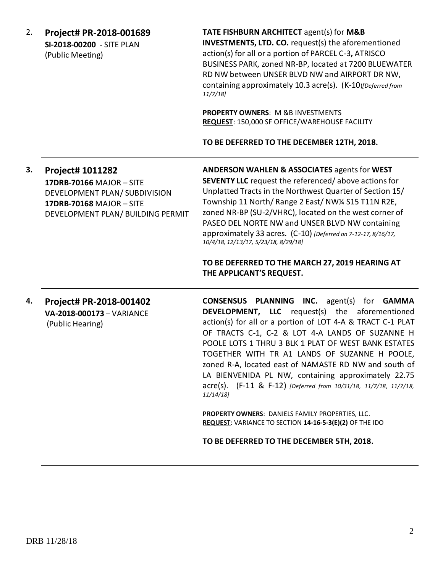2. **Project# PR-2018-001689 SI-2018-00200** - SITE PLAN (Public Meeting)

**TATE FISHBURN ARCHITECT** agent(s) for **M&B INVESTMENTS, LTD. CO.** request(s) the aforementioned action(s) for all or a portion of PARCEL C-3**,** ATRISCO BUSINESS PARK, zoned NR-BP, located at 7200 BLUEWATER RD NW between UNSER BLVD NW and AIRPORT DR NW, containing approximately 10.3 acre(s). (K-10)*[Deferred from 11/7/18]*

**PROPERTY OWNERS**: M &B INVESTMENTS **REQUEST**: 150,000 SF OFFICE/WAREHOUSE FACILITY

**TO BE DEFERRED TO THE DECEMBER 12TH, 2018.**

## **3. Project# 1011282 17DRB-70166** MAJOR – SITE DEVELOPMENT PLAN/ SUBDIVISION **17DRB-70168** MAJOR – SITE DEVELOPMENT PLAN/ BUILDING PERMIT

**ANDERSON WAHLEN & ASSOCIATES** agents for **WEST SEVENTY LLC** request the referenced/ above actions for Unplatted Tracts in the Northwest Quarter of Section 15/ Township 11 North/ Range 2 East/ NW¼ S15 T11N R2E, zoned NR-BP (SU-2/VHRC), located on the west corner of PASEO DEL NORTE NW and UNSER BLVD NW containing approximately 33 acres. (C-10) *[Deferred on 7-12-17, 8/16/17, 10/4/18, 12/13/17, 5/23/18, 8/29/18]*

#### **TO BE DEFERRED TO THE MARCH 27, 2019 HEARING AT THE APPLICANT'S REQUEST.**

**4. Project# PR-2018-001402 VA-2018-000173** – VARIANCE (Public Hearing)

**CONSENSUS PLANNING INC.** agent(s) for **GAMMA DEVELOPMENT, LLC** request(s) the aforementioned action(s) for all or a portion of LOT 4-A & TRACT C-1 PLAT OF TRACTS C-1, C-2 & LOT 4-A LANDS OF SUZANNE H POOLE LOTS 1 THRU 3 BLK 1 PLAT OF WEST BANK ESTATES TOGETHER WITH TR A1 LANDS OF SUZANNE H POOLE, zoned R-A, located east of NAMASTE RD NW and south of LA BIENVENIDA PL NW, containing approximately 22.75 acre(s). (F-11 & F-12) *[Deferred from 10/31/18, 11/7/18, 11/7/18, 11/14/18]*

**PROPERTY OWNERS**: DANIELS FAMILY PROPERTIES, LLC. **REQUEST**: VARIANCE TO SECTION **14-16-5-3(E)(2)** OF THE IDO

**TO BE DEFERRED TO THE DECEMBER 5TH, 2018.**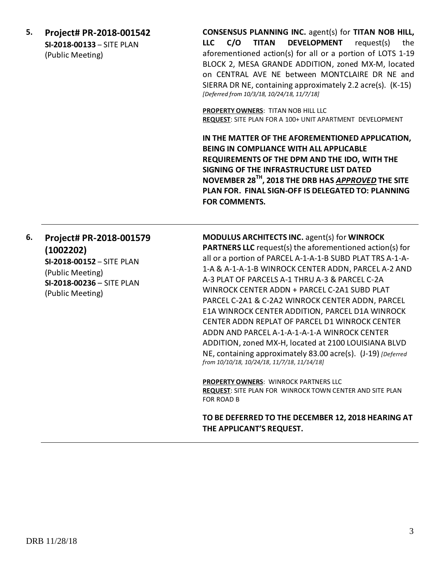**5. Project# PR-2018-001542 SI-2018-00133** – SITE PLAN (Public Meeting)

**CONSENSUS PLANNING INC.** agent(s) for **TITAN NOB HILL, LLC C/O TITAN DEVELOPMENT** request(s) the aforementioned action(s) for all or a portion of LOTS 1-19 BLOCK 2, MESA GRANDE ADDITION, zoned MX-M, located on CENTRAL AVE NE between MONTCLAIRE DR NE and SIERRA DR NE, containing approximately 2.2 acre(s). (K-15) *[Deferred from 10/3/18, 10/24/18, 11/7/18]*

**PROPERTY OWNERS**: TITAN NOB HILL LLC **REQUEST**: SITE PLAN FOR A 100+ UNIT APARTMENT DEVELOPMENT

**IN THE MATTER OF THE AFOREMENTIONED APPLICATION, BEING IN COMPLIANCE WITH ALL APPLICABLE REQUIREMENTS OF THE DPM AND THE IDO, WITH THE SIGNING OF THE INFRASTRUCTURE LIST DATED NOVEMBER 28TH, 2018 THE DRB HAS** *APPROVED* **THE SITE PLAN FOR. FINAL SIGN-OFF IS DELEGATED TO: PLANNING FOR COMMENTS.**

**6. Project# PR-2018-001579 (1002202) SI-2018-00152** – SITE PLAN (Public Meeting) **SI-2018-00236** – SITE PLAN (Public Meeting)

**MODULUS ARCHITECTS INC.** agent(s) for **WINROCK PARTNERS LLC** request(s) the aforementioned action(s) for all or a portion of PARCEL A-1-A-1-B SUBD PLAT TRS A-1-A-1-A & A-1-A-1-B WINROCK CENTER ADDN, PARCEL A-2 AND A-3 PLAT OF PARCELS A-1 THRU A-3 & PARCEL C-2A WINROCK CENTER ADDN + PARCEL C-2A1 SUBD PLAT PARCEL C-2A1 & C-2A2 WINROCK CENTER ADDN, PARCEL E1A WINROCK CENTER ADDITION, PARCEL D1A WINROCK CENTER ADDN REPLAT OF PARCEL D1 WINROCK CENTER ADDN AND PARCEL A-1-A-1-A-1-A WINROCK CENTER ADDITION, zoned MX-H, located at 2100 LOUISIANA BLVD NE, containing approximately 83.00 acre(s). (J-19) *[Deferred from 10/10/18, 10/24/18, 11/7/18, 11/14/18]*

**PROPERTY OWNERS**: WINROCK PARTNERS LLC **REQUEST**: SITE PLAN FOR WINROCK TOWN CENTER AND SITE PLAN FOR ROAD B

**TO BE DEFERRED TO THE DECEMBER 12, 2018 HEARING AT THE APPLICANT'S REQUEST.**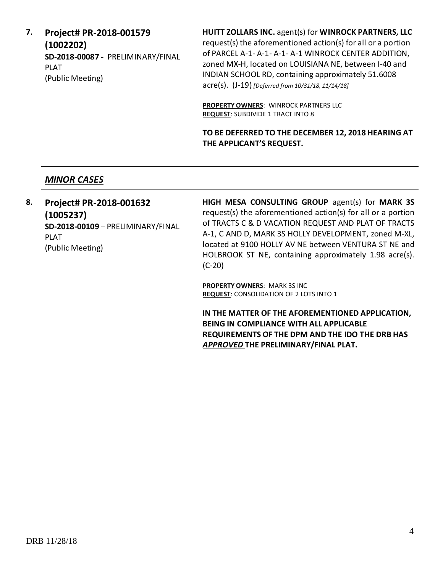**7. Project# PR-2018-001579 (1002202) SD-2018-00087 -** PRELIMINARY/FINAL PLAT (Public Meeting)

**HUITT ZOLLARS INC.** agent(s) for **WINROCK PARTNERS, LLC** request(s) the aforementioned action(s) for all or a portion of PARCEL A-1- A-1- A-1- A-1 WINROCK CENTER ADDITION, zoned MX-H, located on LOUISIANA NE, between I-40 and INDIAN SCHOOL RD, containing approximately 51.6008 acre(s). (J-19) *[Deferred from 10/31/18, 11/14/18]*

**PROPERTY OWNERS**: WINROCK PARTNERS LLC **REQUEST**: SUBDIVIDE 1 TRACT INTO 8

**TO BE DEFERRED TO THE DECEMBER 12, 2018 HEARING AT THE APPLICANT'S REQUEST.** 

#### *MINOR CASES*

**8. Project# PR-2018-001632 (1005237) SD-2018-00109** – PRELIMINARY/FINAL PLAT (Public Meeting)

**HIGH MESA CONSULTING GROUP** agent(s) for **MARK 3S**  request(s) the aforementioned action(s) for all or a portion of TRACTS C & D VACATION REQUEST AND PLAT OF TRACTS A-1, C AND D, MARK 3S HOLLY DEVELOPMENT, zoned M-XL, located at 9100 HOLLY AV NE between VENTURA ST NE and HOLBROOK ST NE, containing approximately 1.98 acre(s). (C-20)

**PROPERTY OWNERS**: MARK 3S INC **REQUEST**: CONSOLIDATION OF 2 LOTS INTO 1

**IN THE MATTER OF THE AFOREMENTIONED APPLICATION, BEING IN COMPLIANCE WITH ALL APPLICABLE REQUIREMENTS OF THE DPM AND THE IDO THE DRB HAS**  *APPROVED* **THE PRELIMINARY/FINAL PLAT.**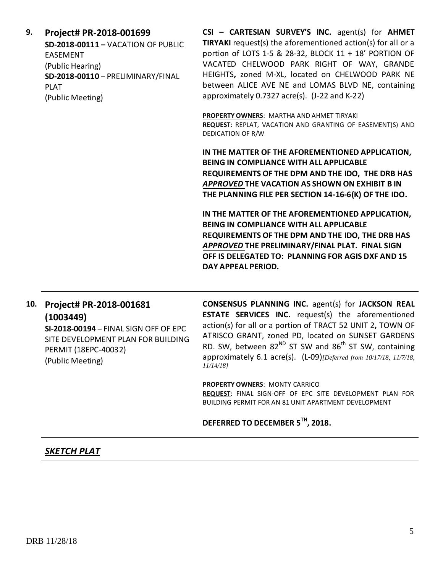**9. Project# PR-2018-001699 SD-2018-00111 –** VACATION OF PUBLIC EASEMENT (Public Hearing) **SD-2018-00110** – PRELIMINARY/FINAL PLAT (Public Meeting)

**CSI – CARTESIAN SURVEY'S INC.** agent(s) for **AHMET TIRYAKI** request(s) the aforementioned action(s) for all or a portion of LOTS 1-5 & 28-32, BLOCK 11 + 18' PORTION OF VACATED CHELWOOD PARK RIGHT OF WAY, GRANDE HEIGHTS**,** zoned M-XL, located on CHELWOOD PARK NE between ALICE AVE NE and LOMAS BLVD NE, containing approximately 0.7327 acre(s). (J-22 and K-22)

**PROPERTY OWNERS**: MARTHA AND AHMET TIRYAKI **REQUEST**: REPLAT, VACATION AND GRANTING OF EASEMENT(S) AND DEDICATION OF R/W

**IN THE MATTER OF THE AFOREMENTIONED APPLICATION, BEING IN COMPLIANCE WITH ALL APPLICABLE REQUIREMENTS OF THE DPM AND THE IDO, THE DRB HAS**  *APPROVED* **THE VACATION AS SHOWN ON EXHIBIT B IN THE PLANNING FILE PER SECTION 14-16-6(K) OF THE IDO.**

**IN THE MATTER OF THE AFOREMENTIONED APPLICATION, BEING IN COMPLIANCE WITH ALL APPLICABLE REQUIREMENTS OF THE DPM AND THE IDO, THE DRB HAS**  *APPROVED* **THE PRELIMINARY/FINAL PLAT. FINAL SIGN OFF IS DELEGATED TO: PLANNING FOR AGIS DXF AND 15 DAY APPEAL PERIOD.**

## **10. Project# PR-2018-001681 (1003449)**

**SI-2018-00194** – FINAL SIGN OFF OF EPC SITE DEVELOPMENT PLAN FOR BUILDING PERMIT (18EPC-40032) (Public Meeting)

**CONSENSUS PLANNING INC.** agent(s) for **JACKSON REAL ESTATE SERVICES INC.** request(s) the aforementioned action(s) for all or a portion of TRACT 52 UNIT 2**,** TOWN OF ATRISCO GRANT, zoned PD, located on SUNSET GARDENS RD. SW, between  $82^{ND}$  ST SW and  $86^{th}$  ST SW, containing approximately 6.1 acre(s). (L-09)*[Deferred from 10/17/18, 11/7/18, 11/14/18]*

**PROPERTY OWNERS**: MONTY CARRICO

**REQUEST**: FINAL SIGN-OFF OF EPC SITE DEVELOPMENT PLAN FOR BUILDING PERMIT FOR AN 81 UNIT APARTMENT DEVELOPMENT

# **DEFERRED TO DECEMBER 5TH, 2018.**

#### *SKETCH PLAT*